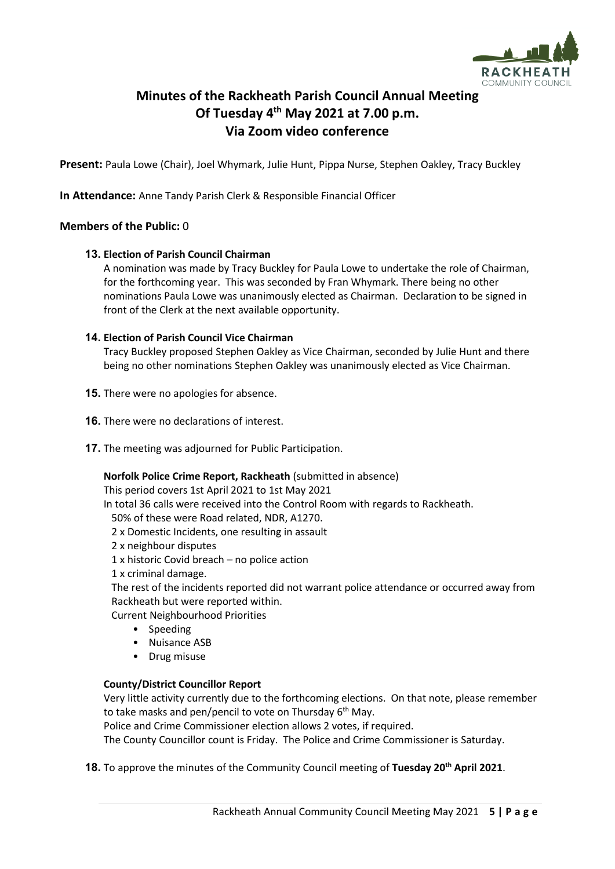

# **Minutes of the Rackheath Parish Council Annual Meeting Of Tuesday 4 th May 2021 at 7.00 p.m. Via Zoom video conference**

**Present:** Paula Lowe (Chair), Joel Whymark, Julie Hunt, Pippa Nurse, Stephen Oakley, Tracy Buckley

**In Attendance:** Anne Tandy Parish Clerk & Responsible Financial Officer

# **Members of the Public:** 0

### **13. Election of Parish Council Chairman**

A nomination was made by Tracy Buckley for Paula Lowe to undertake the role of Chairman, for the forthcoming year. This was seconded by Fran Whymark. There being no other nominations Paula Lowe was unanimously elected as Chairman. Declaration to be signed in front of the Clerk at the next available opportunity.

### **14. Election of Parish Council Vice Chairman**

Tracy Buckley proposed Stephen Oakley as Vice Chairman, seconded by Julie Hunt and there being no other nominations Stephen Oakley was unanimously elected as Vice Chairman.

- **15.** There were no apologies for absence.
- **16.** There were no declarations of interest.
- **17.** The meeting was adjourned for Public Participation.

### **Norfolk Police Crime Report, Rackheath** (submitted in absence)

This period covers 1st April 2021 to 1st May 2021

In total 36 calls were received into the Control Room with regards to Rackheath.

50% of these were Road related, NDR, A1270.

- 2 x Domestic Incidents, one resulting in assault
- 2 x neighbour disputes
- 1 x historic Covid breach no police action

1 x criminal damage.

The rest of the incidents reported did not warrant police attendance or occurred away from Rackheath but were reported within.

Current Neighbourhood Priorities

- Speeding
- Nuisance ASB
- Drug misuse

# **County/District Councillor Report**

Very little activity currently due to the forthcoming elections. On that note, please remember to take masks and pen/pencil to vote on Thursday 6<sup>th</sup> May.

Police and Crime Commissioner election allows 2 votes, if required.

The County Councillor count is Friday. The Police and Crime Commissioner is Saturday.

**18.** To approve the minutes of the Community Council meeting of **Tuesday 20th April 2021**.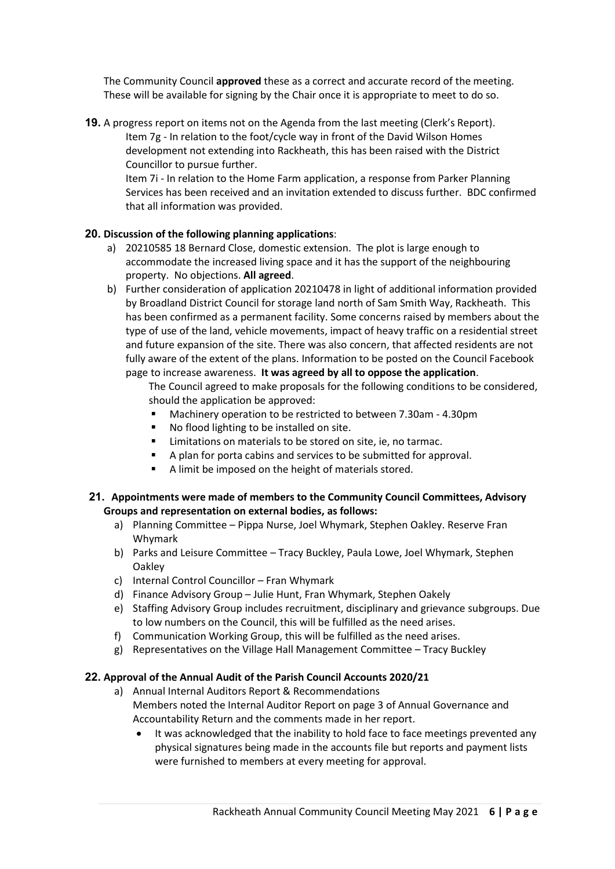The Community Council **approved** these as a correct and accurate record of the meeting. These will be available for signing by the Chair once it is appropriate to meet to do so.

**19.** A progress report on items not on the Agenda from the last meeting (Clerk's Report). Item 7g - In relation to the foot/cycle way in front of the David Wilson Homes development not extending into Rackheath, this has been raised with the District Councillor to pursue further.

Item 7i - In relation to the Home Farm application, a response from Parker Planning Services has been received and an invitation extended to discuss further. BDC confirmed that all information was provided.

# **20. Discussion of the following planning applications**:

- a) 20210585 18 Bernard Close, domestic extension. The plot is large enough to accommodate the increased living space and it has the support of the neighbouring property. No objections. **All agreed**.
- b) Further consideration of application 20210478 in light of additional information provided by Broadland District Council for storage land north of Sam Smith Way, Rackheath. This has been confirmed as a permanent facility. Some concerns raised by members about the type of use of the land, vehicle movements, impact of heavy traffic on a residential street and future expansion of the site. There was also concern, that affected residents are not fully aware of the extent of the plans. Information to be posted on the Council Facebook page to increase awareness. **It was agreed by all to oppose the application**.

The Council agreed to make proposals for the following conditions to be considered, should the application be approved:

- Machinery operation to be restricted to between 7.30am 4.30pm
- No flood lighting to be installed on site.
- Limitations on materials to be stored on site, ie, no tarmac.
- A plan for porta cabins and services to be submitted for approval.
- A limit be imposed on the height of materials stored.

### **21. Appointments were made of members to the Community Council Committees, Advisory Groups and representation on external bodies, as follows:**

- a) Planning Committee Pippa Nurse, Joel Whymark, Stephen Oakley. Reserve Fran Whymark
- b) Parks and Leisure Committee Tracy Buckley, Paula Lowe, Joel Whymark, Stephen Oakley
- c) Internal Control Councillor Fran Whymark
- d) Finance Advisory Group Julie Hunt, Fran Whymark, Stephen Oakely
- e) Staffing Advisory Group includes recruitment, disciplinary and grievance subgroups. Due to low numbers on the Council, this will be fulfilled as the need arises.
- f) Communication Working Group, this will be fulfilled as the need arises.
- g) Representatives on the Village Hall Management Committee Tracy Buckley

# **22. Approval of the Annual Audit of the Parish Council Accounts 2020/21**

- a) Annual Internal Auditors Report & Recommendations Members noted the Internal Auditor Report on page 3 of Annual Governance and Accountability Return and the comments made in her report.
	- It was acknowledged that the inability to hold face to face meetings prevented any physical signatures being made in the accounts file but reports and payment lists were furnished to members at every meeting for approval.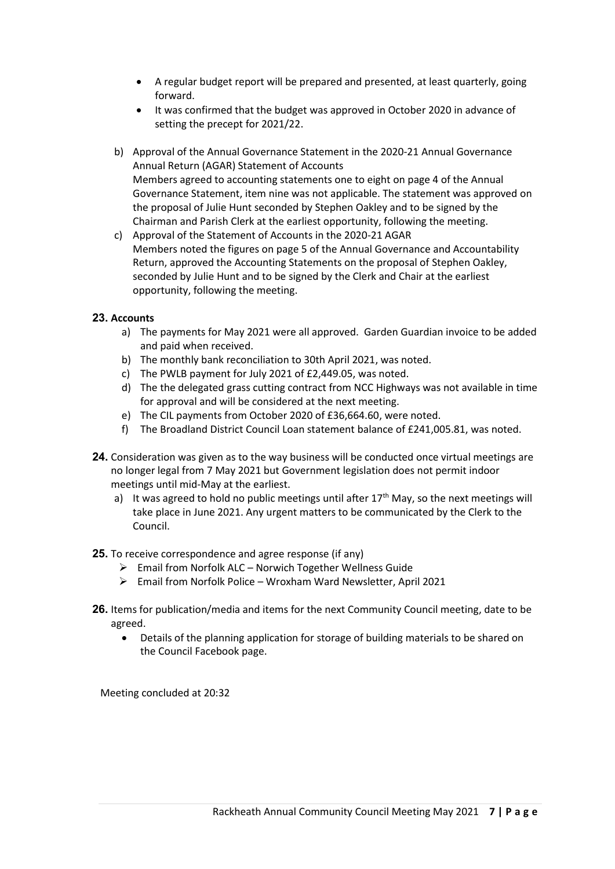- A regular budget report will be prepared and presented, at least quarterly, going forward.
- It was confirmed that the budget was approved in October 2020 in advance of setting the precept for 2021/22.
- b) Approval of the Annual Governance Statement in the 2020-21 Annual Governance Annual Return (AGAR) Statement of Accounts Members agreed to accounting statements one to eight on page 4 of the Annual Governance Statement, item nine was not applicable. The statement was approved on the proposal of Julie Hunt seconded by Stephen Oakley and to be signed by the Chairman and Parish Clerk at the earliest opportunity, following the meeting.
- c) Approval of the Statement of Accounts in the 2020-21 AGAR Members noted the figures on page 5 of the Annual Governance and Accountability Return, approved the Accounting Statements on the proposal of Stephen Oakley, seconded by Julie Hunt and to be signed by the Clerk and Chair at the earliest opportunity, following the meeting.

# **23. Accounts**

- a) The payments for May 2021 were all approved. Garden Guardian invoice to be added and paid when received.
- b) The monthly bank reconciliation to 30th April 2021, was noted.
- c) The PWLB payment for July 2021 of £2,449.05, was noted.
- d) The the delegated grass cutting contract from NCC Highways was not available in time for approval and will be considered at the next meeting.
- e) The CIL payments from October 2020 of £36,664.60, were noted.
- f) The Broadland District Council Loan statement balance of £241,005.81, was noted.
- **24.** Consideration was given as to the way business will be conducted once virtual meetings are no longer legal from 7 May 2021 but Government legislation does not permit indoor meetings until mid-May at the earliest.
	- a) It was agreed to hold no public meetings until after  $17<sup>th</sup>$  May, so the next meetings will take place in June 2021. Any urgent matters to be communicated by the Clerk to the Council.

### **25.** To receive correspondence and agree response (if any)

- ➢ Email from Norfolk ALC Norwich Together Wellness Guide
- ➢ Email from Norfolk Police Wroxham Ward Newsletter, April 2021
- **26.** Items for publication/media and items for the next Community Council meeting, date to be agreed.
	- Details of the planning application for storage of building materials to be shared on the Council Facebook page.

Meeting concluded at 20:32